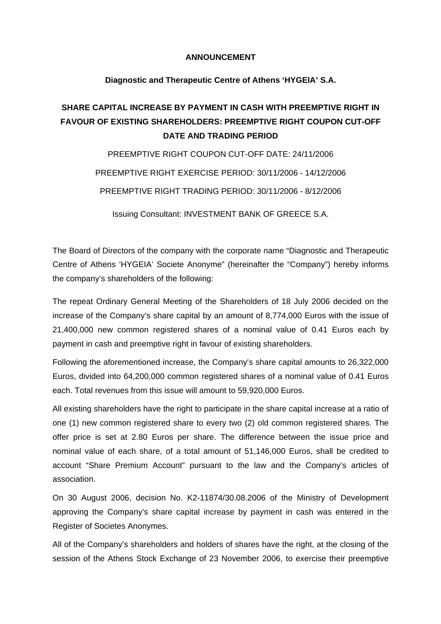## **ANNOUNCEMENT**

## **Diagnostic and Therapeutic Centre of Athens 'HYGEIA' S.A.**

## **SHARE CAPITAL INCREASE BY PAYMENT IN CASH WITH PREEMPTIVE RIGHT IN FAVOUR OF EXISTING SHAREHOLDERS: PREEMPTIVE RIGHT COUPON CUT-OFF DATE AND TRADING PERIOD**

PREEMPTIVE RIGHT COUPON CUT-OFF DATE: 24/11/2006 PREEMPTIVE RIGHT EXERCISE PERIOD: 30/11/2006 - 14/12/2006 PREEMPTIVE RIGHT TRADING PERIOD: 30/11/2006 - 8/12/2006

Issuing Consultant: INVESTMENT BANK OF GREECE S.A.

The Board of Directors of the company with the corporate name "Diagnostic and Therapeutic Centre of Athens 'HYGEIA' Societe Anonyme" (hereinafter the "Company") hereby informs the company's shareholders of the following:

The repeat Ordinary General Meeting of the Shareholders of 18 July 2006 decided on the increase of the Company's share capital by an amount of 8,774,000 Euros with the issue of 21,400,000 new common registered shares of a nominal value of 0.41 Euros each by payment in cash and preemptive right in favour of existing shareholders.

Following the aforementioned increase, the Company's share capital amounts to 26,322,000 Euros, divided into 64,200,000 common registered shares of a nominal value of 0.41 Euros each. Total revenues from this issue will amount to 59,920,000 Euros.

All existing shareholders have the right to participate in the share capital increase at a ratio of one (1) new common registered share to every two (2) old common registered shares. The offer price is set at 2.80 Euros per share. The difference between the issue price and nominal value of each share, of a total amount of 51,146,000 Euros, shall be credited to account "Share Premium Account" pursuant to the law and the Company's articles of association.

On 30 August 2006, decision No. K2-11874/30.08.2006 of the Ministry of Development approving the Company's share capital increase by payment in cash was entered in the Register of Societes Anonymes.

All of the Company's shareholders and holders of shares have the right, at the closing of the session of the Athens Stock Exchange of 23 November 2006, to exercise their preemptive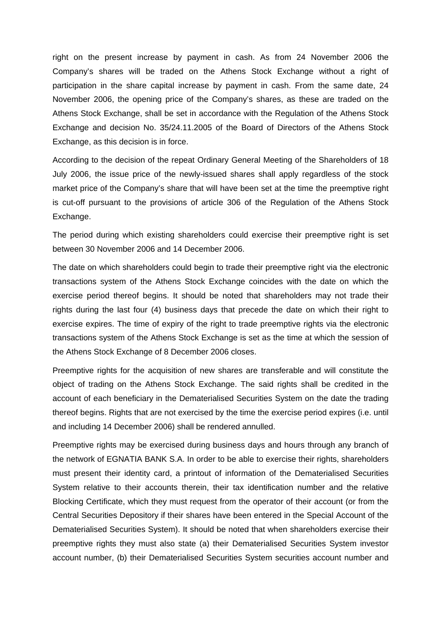right on the present increase by payment in cash. As from 24 November 2006 the Company's shares will be traded on the Athens Stock Exchange without a right of participation in the share capital increase by payment in cash. From the same date, 24 November 2006, the opening price of the Company's shares, as these are traded on the Athens Stock Exchange, shall be set in accordance with the Regulation of the Athens Stock Exchange and decision No. 35/24.11.2005 of the Board of Directors of the Athens Stock Exchange, as this decision is in force.

According to the decision of the repeat Ordinary General Meeting of the Shareholders of 18 July 2006, the issue price of the newly-issued shares shall apply regardless of the stock market price of the Company's share that will have been set at the time the preemptive right is cut-off pursuant to the provisions of article 306 of the Regulation of the Athens Stock Exchange.

The period during which existing shareholders could exercise their preemptive right is set between 30 November 2006 and 14 December 2006.

The date on which shareholders could begin to trade their preemptive right via the electronic transactions system of the Athens Stock Exchange coincides with the date on which the exercise period thereof begins. It should be noted that shareholders may not trade their rights during the last four (4) business days that precede the date on which their right to exercise expires. The time of expiry of the right to trade preemptive rights via the electronic transactions system of the Athens Stock Exchange is set as the time at which the session of the Athens Stock Exchange of 8 December 2006 closes.

Preemptive rights for the acquisition of new shares are transferable and will constitute the object of trading on the Athens Stock Exchange. The said rights shall be credited in the account of each beneficiary in the Dematerialised Securities System on the date the trading thereof begins. Rights that are not exercised by the time the exercise period expires (i.e. until and including 14 December 2006) shall be rendered annulled.

Preemptive rights may be exercised during business days and hours through any branch of the network of EGNATIA BANK S.A. In order to be able to exercise their rights, shareholders must present their identity card, a printout of information of the Dematerialised Securities System relative to their accounts therein, their tax identification number and the relative Blocking Certificate, which they must request from the operator of their account (or from the Central Securities Depository if their shares have been entered in the Special Account of the Dematerialised Securities System). It should be noted that when shareholders exercise their preemptive rights they must also state (a) their Dematerialised Securities System investor account number, (b) their Dematerialised Securities System securities account number and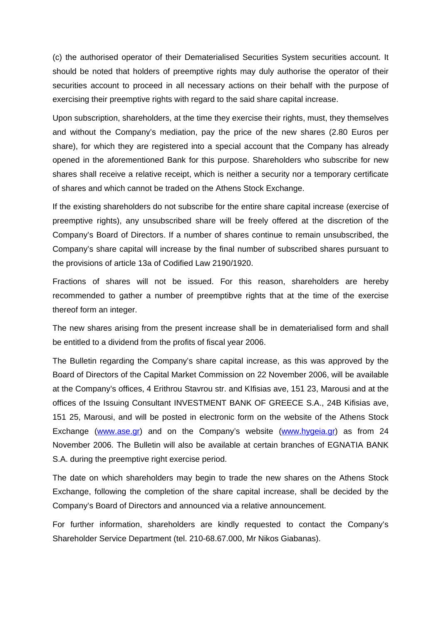(c) the authorised operator of their Dematerialised Securities System securities account. It should be noted that holders of preemptive rights may duly authorise the operator of their securities account to proceed in all necessary actions on their behalf with the purpose of exercising their preemptive rights with regard to the said share capital increase.

Upon subscription, shareholders, at the time they exercise their rights, must, they themselves and without the Company's mediation, pay the price of the new shares (2.80 Euros per share), for which they are registered into a special account that the Company has already opened in the aforementioned Bank for this purpose. Shareholders who subscribe for new shares shall receive a relative receipt, which is neither a security nor a temporary certificate of shares and which cannot be traded on the Athens Stock Exchange.

If the existing shareholders do not subscribe for the entire share capital increase (exercise of preemptive rights), any unsubscribed share will be freely offered at the discretion of the Company's Board of Directors. If a number of shares continue to remain unsubscribed, the Company's share capital will increase by the final number of subscribed shares pursuant to the provisions of article 13a of Codified Law 2190/1920.

Fractions of shares will not be issued. For this reason, shareholders are hereby recommended to gather a number of preemptibve rights that at the time of the exercise thereof form an integer.

The new shares arising from the present increase shall be in dematerialised form and shall be entitled to a dividend from the profits of fiscal year 2006.

The Bulletin regarding the Company's share capital increase, as this was approved by the Board of Directors of the Capital Market Commission on 22 November 2006, will be available at the Company's offices, 4 Erithrou Stavrou str. and KIfisias ave, 151 23, Marousi and at the offices of the Issuing Consultant INVESTMENT BANK OF GREECE S.A., 24B Kifisias ave, 151 25, Marousi, and will be posted in electronic form on the website of the Athens Stock Exchange (www.ase.gr) and on the Company's website (www.hygeia.gr) as from 24 November 2006. The Bulletin will also be available at certain branches of EGNATIA BANK S.A. during the preemptive right exercise period.

The date on which shareholders may begin to trade the new shares on the Athens Stock Exchange, following the completion of the share capital increase, shall be decided by the Company's Board of Directors and announced via a relative announcement.

For further information, shareholders are kindly requested to contact the Company's Shareholder Service Department (tel. 210-68.67.000, Mr Nikos Giabanas).